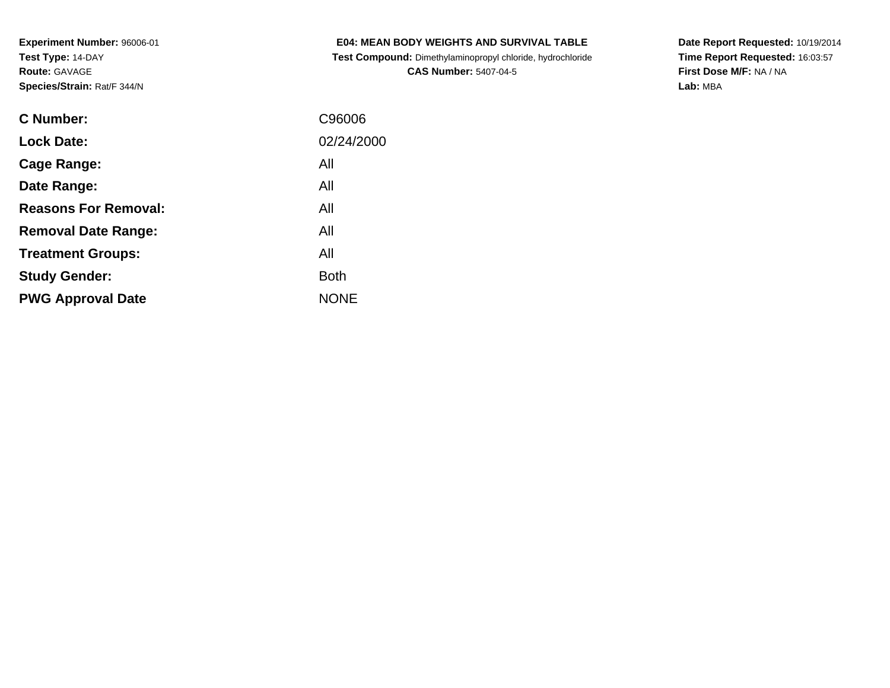**Test Compound:** Dimethylaminopropyl chloride, hydrochloride**CAS Number:** 5407-04-5

**Date Report Requested:** 10/19/2014 **Time Report Requested:** 16:03:57**First Dose M/F:** NA / NA**Lab:** MBA

| C Number:                   | C96006      |
|-----------------------------|-------------|
| <b>Lock Date:</b>           | 02/24/2000  |
| Cage Range:                 | All         |
| Date Range:                 | All         |
| <b>Reasons For Removal:</b> | All         |
| <b>Removal Date Range:</b>  | All         |
| <b>Treatment Groups:</b>    | All         |
| <b>Study Gender:</b>        | <b>Both</b> |
| <b>PWG Approval Date</b>    | <b>NONE</b> |
|                             |             |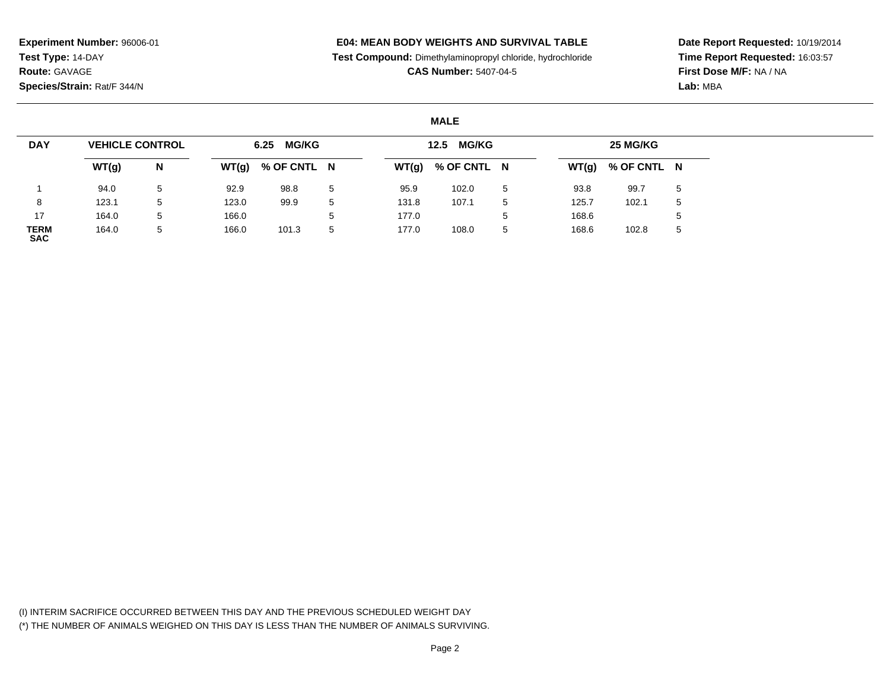# **E04: MEAN BODY WEIGHTS AND SURVIVAL TABLE**

**Test Compound:** Dimethylaminopropyl chloride, hydrochloride

**CAS Number:** 5407-04-5

**Date Report Requested:** 10/19/2014**Time Report Requested:** 16:03:57**First Dose M/F:** NA / NA**Lab:** MBA

# **MALE**

| <b>DAY</b>         | <b>VEHICLE CONTROL</b> |   |       | <b>MG/KG</b><br>6.25 |   |       | <b>MG/KG</b><br>12.5 |   |       | 25 MG/KG    |             |
|--------------------|------------------------|---|-------|----------------------|---|-------|----------------------|---|-------|-------------|-------------|
|                    | WT(g)                  | N | WT(g) | % OF CNTL N          |   | WT(g) | % OF CNTL N          |   | WT(g) | % OF CNTL N |             |
|                    | 94.0                   | 5 | 92.9  | 98.8                 | 5 | 95.9  | 102.0                | 5 | 93.8  | 99.7        | $\mathbf b$ |
|                    | 123.1                  | 5 | 123.0 | 99.9                 | 5 | 131.8 | 107.1                | 5 | 125.7 | 102.1       | .5          |
| 17                 | 164.0                  | 5 | 166.0 |                      |   | 177.0 |                      | 5 | 168.6 |             |             |
| TERM<br><b>SAC</b> | 164.0                  | 5 | 166.0 | 101.3                | 5 | 177.0 | 108.0                | 5 | 168.6 | 102.8       | $\mathbf b$ |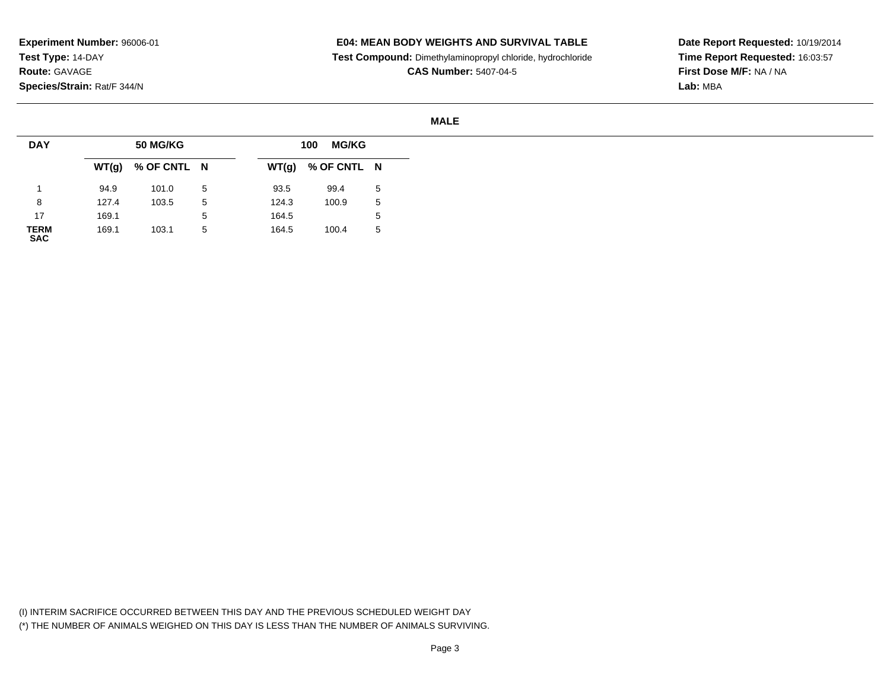# **E04: MEAN BODY WEIGHTS AND SURVIVAL TABLE**

**Test Compound:** Dimethylaminopropyl chloride, hydrochloride

**CAS Number:** 5407-04-5

**Date Report Requested:** 10/19/2014**Time Report Requested:** 16:03:57**First Dose M/F:** NA / NA**Lab:** MBA

### **MALE**

| <b>DAY</b>          |       | <b>50 MG/KG</b>     |   |       | <b>MG/KG</b><br>100 |   |
|---------------------|-------|---------------------|---|-------|---------------------|---|
|                     |       | $WT(g)$ % OF CNTL N |   |       | $WT(g)$ % OF CNTL N |   |
|                     | 94.9  | 101.0               | 5 | 93.5  | 99.4                | 5 |
| 8                   | 127.4 | 103.5               | 5 | 124.3 | 100.9               | 5 |
| 17                  | 169.1 |                     | ა | 164.5 |                     | 5 |
| <b>TERM<br/>SAC</b> | 169.1 | 103.1               | 5 | 164.5 | 100.4               | 5 |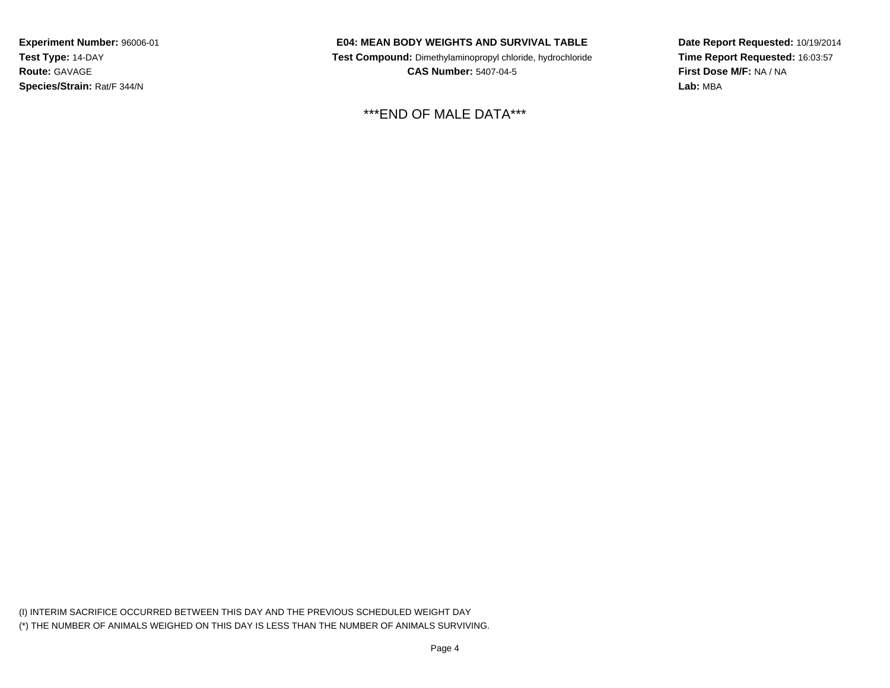# **E04: MEAN BODY WEIGHTS AND SURVIVAL TABLE**

 **Test Compound:** Dimethylaminopropyl chloride, hydrochloride**CAS Number:** 5407-04-5

\*\*\*END OF MALE DATA\*\*\*

**Date Report Requested:** 10/19/2014**Time Report Requested:** 16:03:57**First Dose M/F:** NA / NA**Lab:** MBA

(I) INTERIM SACRIFICE OCCURRED BETWEEN THIS DAY AND THE PREVIOUS SCHEDULED WEIGHT DAY(\*) THE NUMBER OF ANIMALS WEIGHED ON THIS DAY IS LESS THAN THE NUMBER OF ANIMALS SURVIVING.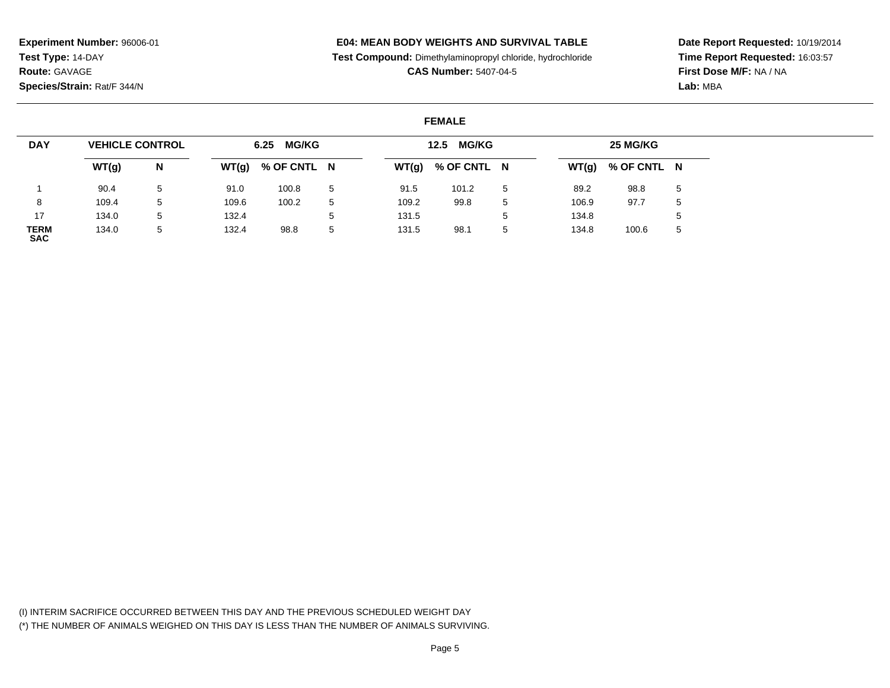# **E04: MEAN BODY WEIGHTS AND SURVIVAL TABLE**

**Test Compound:** Dimethylaminopropyl chloride, hydrochloride

**CAS Number:** 5407-04-5

**Date Report Requested:** 10/19/2014**Time Report Requested:** 16:03:57**First Dose M/F:** NA / NA**Lab:** MBA

# **FEMALE**

| <b>DAY</b>         | <b>VEHICLE CONTROL</b> |              |       | 6.25 MG/KG  |   |       | <b>MG/KG</b><br>12.5 |   |       | 25 MG/KG            |   |
|--------------------|------------------------|--------------|-------|-------------|---|-------|----------------------|---|-------|---------------------|---|
|                    | WT(g)                  | N            | WT(g) | % OF CNTL N |   |       | $WT(g)$ % OF CNTL N  |   |       | $WT(g)$ % OF CNTL N |   |
|                    | 90.4                   | 5            | 91.0  | 100.8       |   | 91.5  | 101.2                | 5 | 89.2  | 98.8                | 5 |
| 8                  | 109.4                  | 5            | 109.6 | 100.2       |   | 109.2 | 99.8                 | 5 | 106.9 | 97.7                | 5 |
| 17                 | 134.0                  | 5            | 132.4 |             |   | 131.5 |                      |   | 134.8 |                     | 5 |
| TERM<br><b>SAC</b> | 134.0                  | $\mathbf{b}$ | 132.4 | 98.8        | 5 | 131.5 | 98.1                 | 5 | 134.8 | 100.6               | 5 |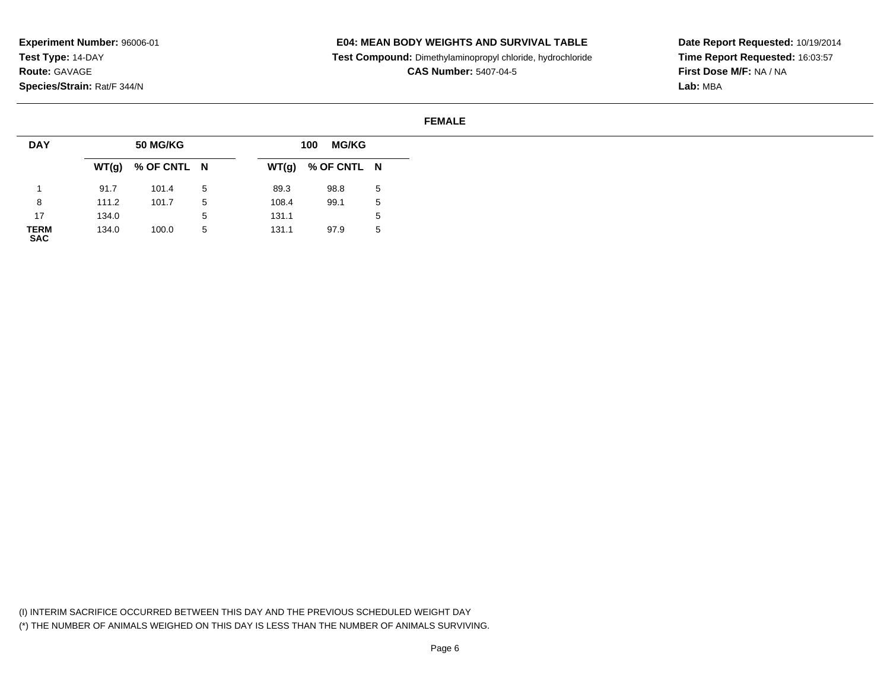# **E04: MEAN BODY WEIGHTS AND SURVIVAL TABLE**

**Test Compound:** Dimethylaminopropyl chloride, hydrochloride

**CAS Number:** 5407-04-5

**Date Report Requested:** 10/19/2014**Time Report Requested:** 16:03:57**First Dose M/F:** NA / NA**Lab:** MBA

### **FEMALE**

| <b>DAY</b>          |       | <b>50 MG/KG</b>     |                 |       | <b>MG/KG</b><br>100 |   |
|---------------------|-------|---------------------|-----------------|-------|---------------------|---|
|                     |       | $WT(g)$ % OF CNTL N |                 |       | $WT(g)$ % OF CNTL N |   |
|                     | 91.7  | 101.4               | $5\overline{a}$ | 89.3  | 98.8                | 5 |
| 8                   | 111.2 | 101.7               | 5               | 108.4 | 99.1                | 5 |
| 17                  | 134.0 |                     | ა               | 131.1 |                     | 5 |
| <b>TERM<br/>SAC</b> | 134.0 | 100.0               | 5               | 131.1 | 97.9                | 5 |